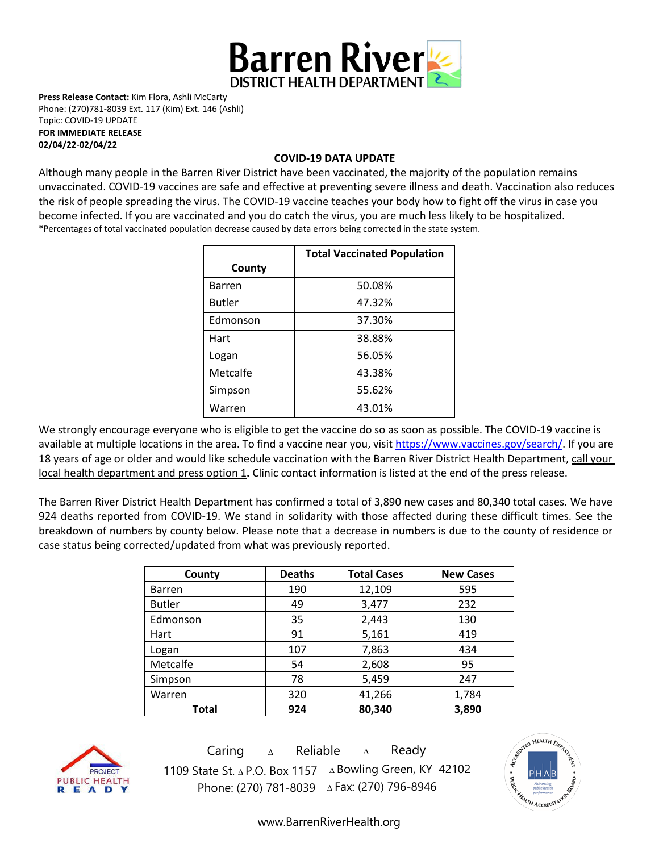

**Press Release Contact:** Kim Flora, Ashli McCarty Phone: (270)781-8039 Ext. 117 (Kim) Ext. 146 (Ashli) Topic: COVID-19 UPDATE **FOR IMMEDIATE RELEASE** 

**02/04/22-02/04/22**

## **COVID-19 DATA UPDATE**

Although many people in the Barren River District have been vaccinated, the majority of the population remains unvaccinated. COVID-19 vaccines are [safe and effective](https://www.cdc.gov/coronavirus/2019-ncov/vaccines/effectiveness.html) at preventing severe illness and death. Vaccination also reduces the risk of people spreading the virus. The COVID-19 vaccine teaches your body how to fight off the virus in case you become infected. If you are vaccinated and you do catch the virus, you are much less likely to be hospitalized. \*Percentages of total vaccinated population decrease caused by data errors being corrected in the state system.

|               | <b>Total Vaccinated Population</b> |  |
|---------------|------------------------------------|--|
| County        |                                    |  |
| <b>Barren</b> | 50.08%                             |  |
| <b>Butler</b> | 47.32%                             |  |
| Edmonson      | 37.30%                             |  |
| Hart          | 38.88%                             |  |
| Logan         | 56.05%                             |  |
| Metcalfe      | 43.38%                             |  |
| Simpson       | 55.62%                             |  |
| Warren        | 43.01%                             |  |

We strongly encourage everyone who is eligible to get the vaccine do so as soon as possible. The COVID-19 vaccine is available at multiple locations in the area. To find a vaccine near you, visi[t https://www.vaccines.gov/search/.](https://www.vaccines.gov/search/) If you are 18 years of age or older and would like schedule vaccination with the Barren River District Health Department, call your local health department and press option 1**.** Clinic contact information is listed at the end of the press release.

The Barren River District Health Department has confirmed a total of 3,890 new cases and 80,340 total cases. We have 924 deaths reported from COVID-19. We stand in solidarity with those affected during these difficult times. See the breakdown of numbers by county below. Please note that a decrease in numbers is due to the county of residence or case status being corrected/updated from what was previously reported.

| County        | <b>Deaths</b> | <b>Total Cases</b> | <b>New Cases</b> |
|---------------|---------------|--------------------|------------------|
| <b>Barren</b> | 190           | 12,109             | 595              |
| <b>Butler</b> | 49            | 3,477              | 232              |
| Edmonson      | 35            | 2,443              | 130              |
| Hart          | 91            | 5,161              | 419              |
| Logan         | 107           | 7,863              | 434              |
| Metcalfe      | 54            | 2,608              | 95               |
| Simpson       | 78            | 5,459              | 247              |
| Warren        | 320           | 41,266             | 1,784            |
| Total         | 924           | 80,340             | 3,890            |



Caring <sup>∆</sup> Reliable <sup>∆</sup> Ready 1109 State St. ∆ P.O. Box 1157 ∆ Bowling Green, KY 42102 Phone: (270) 781-8039 ∆Fax: (270) 796-8946



[www.BarrenRiverHealth.org](http://www.barrenriverhealth.org/)